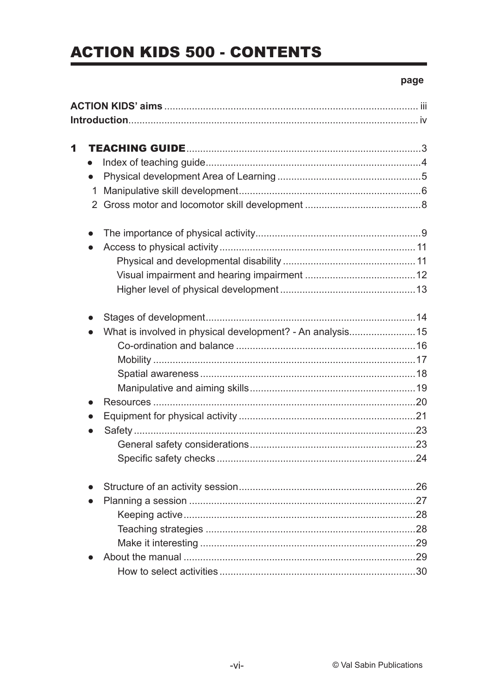# **ACTION KIDS 500 - CONTENTS**

#### page

| 1 |                                                                        |    |
|---|------------------------------------------------------------------------|----|
|   |                                                                        |    |
|   | $\bullet$                                                              |    |
|   | 1                                                                      |    |
|   |                                                                        |    |
|   | $\bullet$                                                              |    |
|   | $\bullet$                                                              |    |
|   |                                                                        |    |
|   |                                                                        |    |
|   |                                                                        |    |
|   | $\bullet$                                                              |    |
|   | What is involved in physical development? - An analysis15<br>$\bullet$ |    |
|   |                                                                        |    |
|   |                                                                        |    |
|   |                                                                        |    |
|   |                                                                        |    |
|   | $\bullet$                                                              |    |
|   | $\bullet$                                                              |    |
|   |                                                                        |    |
|   |                                                                        |    |
|   |                                                                        |    |
|   |                                                                        |    |
|   |                                                                        | 27 |
|   |                                                                        |    |
|   |                                                                        |    |
|   |                                                                        |    |
|   |                                                                        |    |
|   |                                                                        |    |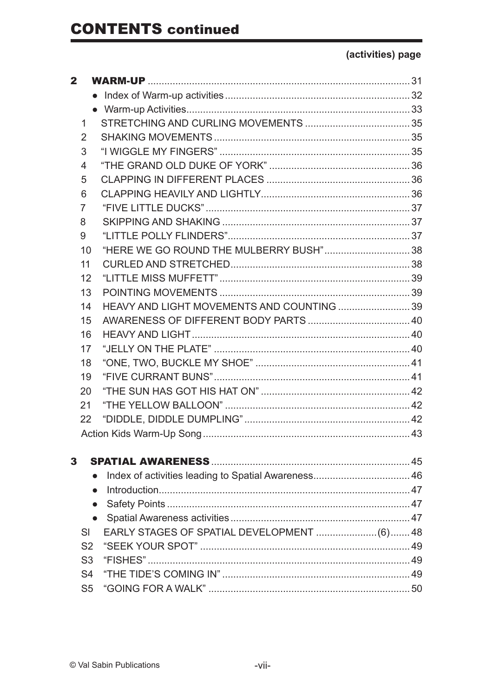| 2 |                |                                           |  |
|---|----------------|-------------------------------------------|--|
|   |                |                                           |  |
|   |                |                                           |  |
|   | 1              |                                           |  |
|   | 2              |                                           |  |
|   | 3              |                                           |  |
|   | 4              |                                           |  |
|   | 5              |                                           |  |
|   | 6              |                                           |  |
|   | 7              |                                           |  |
|   | 8              |                                           |  |
|   | 9              |                                           |  |
|   | 10             | "HERE WE GO ROUND THE MULBERRY BUSH"38    |  |
|   | 11             |                                           |  |
|   | 12             |                                           |  |
|   | 13             |                                           |  |
|   | 14             | HEAVY AND LIGHT MOVEMENTS AND COUNTING 39 |  |
|   | 15             |                                           |  |
|   | 16             |                                           |  |
|   | 17             |                                           |  |
|   | 18             |                                           |  |
|   | 19             |                                           |  |
|   | 20             |                                           |  |
|   | 21             |                                           |  |
|   | 22             |                                           |  |
|   |                |                                           |  |
|   |                |                                           |  |
| 3 |                |                                           |  |
|   |                |                                           |  |
|   |                |                                           |  |
|   |                |                                           |  |
|   |                |                                           |  |
|   | SI             |                                           |  |
|   | S <sub>2</sub> |                                           |  |
|   | S <sub>3</sub> |                                           |  |
|   | S <sub>4</sub> |                                           |  |
|   | S <sub>5</sub> |                                           |  |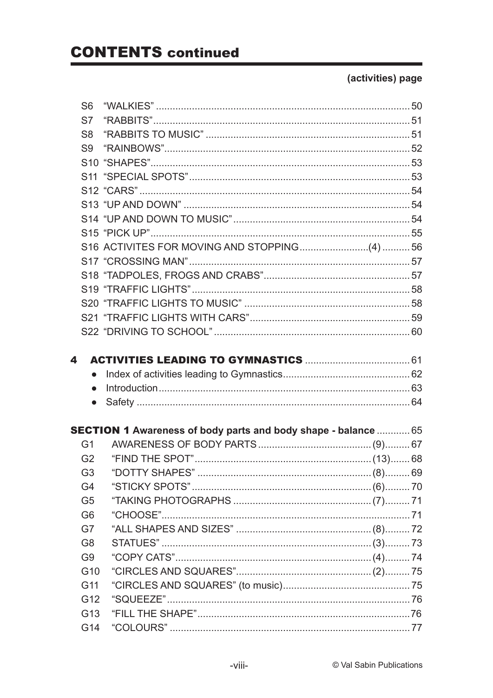|   | S <sub>6</sub>  |                                                                       |  |
|---|-----------------|-----------------------------------------------------------------------|--|
|   | S7              |                                                                       |  |
|   | S <sub>8</sub>  |                                                                       |  |
|   | S9              |                                                                       |  |
|   |                 |                                                                       |  |
|   |                 |                                                                       |  |
|   |                 |                                                                       |  |
|   |                 |                                                                       |  |
|   |                 |                                                                       |  |
|   |                 |                                                                       |  |
|   |                 |                                                                       |  |
|   |                 |                                                                       |  |
|   |                 |                                                                       |  |
|   |                 |                                                                       |  |
|   |                 |                                                                       |  |
|   |                 |                                                                       |  |
|   |                 |                                                                       |  |
|   |                 |                                                                       |  |
| 4 |                 |                                                                       |  |
|   | $\bullet$       |                                                                       |  |
|   | $\bullet$       |                                                                       |  |
|   | $\bullet$       |                                                                       |  |
|   |                 |                                                                       |  |
|   |                 | <b>SECTION 1 Awareness of body parts and body shape - balance  65</b> |  |
|   | G1              |                                                                       |  |
|   | G2              |                                                                       |  |
|   | G <sub>3</sub>  |                                                                       |  |
|   | G4              |                                                                       |  |
|   | G <sub>5</sub>  |                                                                       |  |
|   | G <sub>6</sub>  |                                                                       |  |
|   | G7              |                                                                       |  |
|   | G <sub>8</sub>  |                                                                       |  |
|   | G <sub>9</sub>  |                                                                       |  |
|   | G10             |                                                                       |  |
|   | G11             |                                                                       |  |
|   | G <sub>12</sub> |                                                                       |  |
|   | G <sub>13</sub> |                                                                       |  |
|   | G14             |                                                                       |  |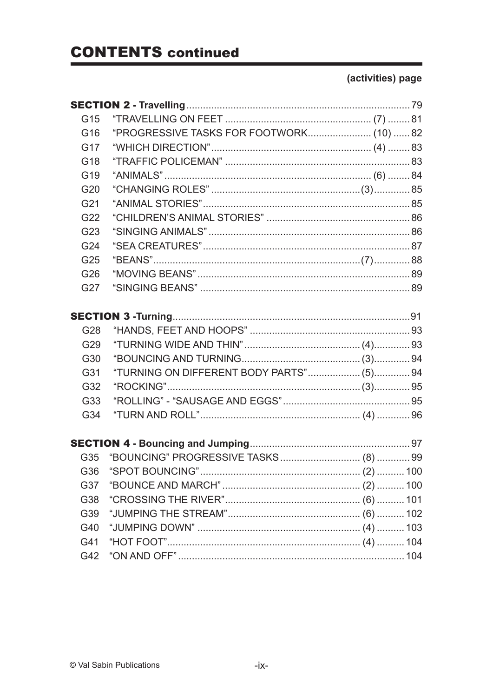| G <sub>15</sub> |                                          |  |
|-----------------|------------------------------------------|--|
| G16             | "PROGRESSIVE TASKS FOR FOOTWORK (10)  82 |  |
| G17             |                                          |  |
| G18             |                                          |  |
| G <sub>19</sub> |                                          |  |
| G <sub>20</sub> |                                          |  |
| G <sub>21</sub> |                                          |  |
| G22             |                                          |  |
| G23             |                                          |  |
| G24             |                                          |  |
| G25             |                                          |  |
| G26             |                                          |  |
| G27             |                                          |  |
|                 |                                          |  |
|                 |                                          |  |
| G28             |                                          |  |
| G29             |                                          |  |
| G30             |                                          |  |
| G31             | "TURNING ON DIFFERENT BODY PARTS" (5) 94 |  |
| G32             |                                          |  |
| G33             |                                          |  |
| G34             |                                          |  |
|                 |                                          |  |
|                 |                                          |  |
| G35             |                                          |  |
|                 |                                          |  |
| G37             |                                          |  |
| G38             |                                          |  |
| G39             |                                          |  |
| G40             |                                          |  |
| G41             |                                          |  |
| G42             |                                          |  |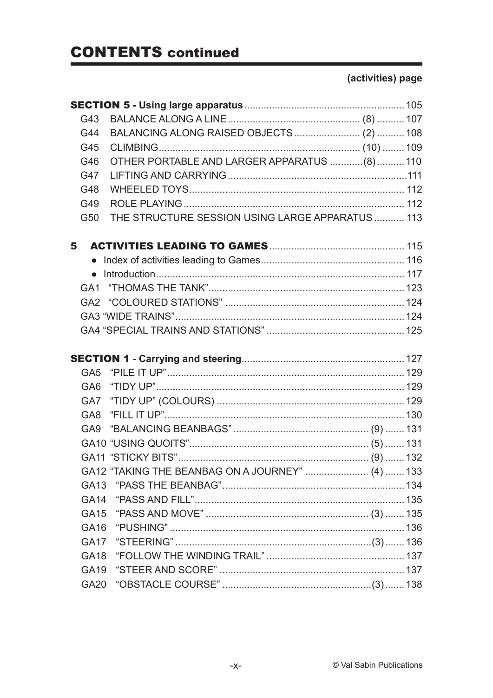| G43              |                                                  |  |
|------------------|--------------------------------------------------|--|
| G44              |                                                  |  |
| G45              |                                                  |  |
| G46              | OTHER PORTABLE AND LARGER APPARATUS (8)  110     |  |
| G47              |                                                  |  |
| G48              |                                                  |  |
| G49              |                                                  |  |
| G50              | THE STRUCTURE SESSION USING LARGE APPARATUS  113 |  |
| 5                |                                                  |  |
|                  |                                                  |  |
|                  |                                                  |  |
|                  |                                                  |  |
|                  |                                                  |  |
|                  |                                                  |  |
|                  |                                                  |  |
|                  |                                                  |  |
|                  |                                                  |  |
|                  |                                                  |  |
| GA <sub>6</sub>  |                                                  |  |
|                  |                                                  |  |
|                  |                                                  |  |
|                  |                                                  |  |
|                  |                                                  |  |
|                  |                                                  |  |
|                  | GA12 "TAKING THE BEANBAG ON A JOURNEY"  (4)  133 |  |
|                  |                                                  |  |
|                  |                                                  |  |
| GA15             |                                                  |  |
| GA <sub>16</sub> |                                                  |  |
| <b>GA17</b>      |                                                  |  |
| GA <sub>18</sub> |                                                  |  |
|                  |                                                  |  |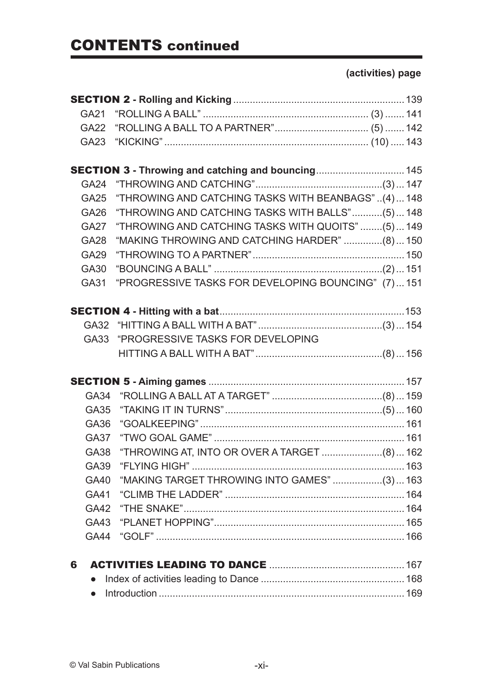|   | GA21        |                                                           |  |
|---|-------------|-----------------------------------------------------------|--|
|   | <b>GA22</b> |                                                           |  |
|   | GA23        |                                                           |  |
|   |             |                                                           |  |
|   |             | <b>SECTION 3 - Throwing and catching and bouncing 145</b> |  |
|   | <b>GA24</b> |                                                           |  |
|   | <b>GA25</b> | "THROWING AND CATCHING TASKS WITH BEANBAGS"(4) 148        |  |
|   | GA26        | "THROWING AND CATCHING TASKS WITH BALLS"(5) 148           |  |
|   | <b>GA27</b> | "THROWING AND CATCHING TASKS WITH QUOITS" (5)  149        |  |
|   | <b>GA28</b> | "MAKING THROWING AND CATCHING HARDER" (8)  150            |  |
|   | <b>GA29</b> |                                                           |  |
|   | GA30        |                                                           |  |
|   | GA31        | "PROGRESSIVE TASKS FOR DEVELOPING BOUNCING" (7)151        |  |
|   |             |                                                           |  |
|   |             |                                                           |  |
|   |             |                                                           |  |
|   | GA33        | "PROGRESSIVE TASKS FOR DEVELOPING                         |  |
|   |             |                                                           |  |
|   |             |                                                           |  |
|   |             |                                                           |  |
|   | <b>GA34</b> |                                                           |  |
|   | <b>GA35</b> |                                                           |  |
|   | GA36        |                                                           |  |
|   | <b>GA37</b> |                                                           |  |
|   | <b>GA38</b> | "THROWING AT, INTO OR OVER A TARGET  (8)  162             |  |
|   | <b>GA39</b> |                                                           |  |
|   | GA40        | "MAKING TARGET THROWING INTO GAMES" (3)  163              |  |
|   | GA41        |                                                           |  |
|   |             |                                                           |  |
|   |             |                                                           |  |
|   | <b>GA44</b> |                                                           |  |
|   |             |                                                           |  |
| 6 |             |                                                           |  |
|   |             |                                                           |  |
|   |             |                                                           |  |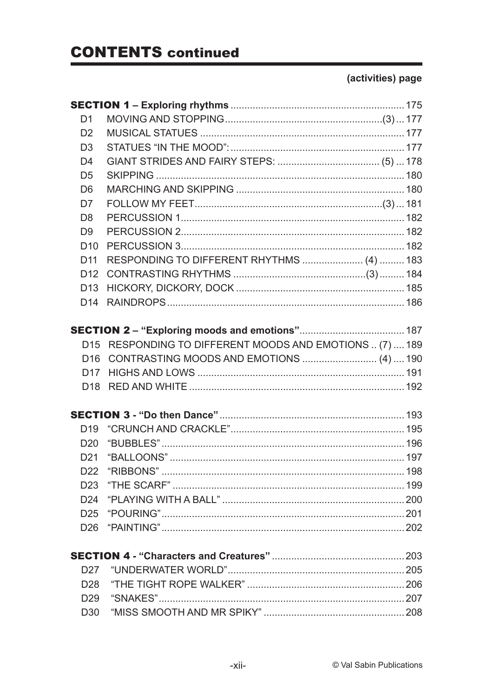| D <sub>1</sub>  |                                                          |  |
|-----------------|----------------------------------------------------------|--|
| D <sub>2</sub>  |                                                          |  |
| D <sub>3</sub>  |                                                          |  |
| D <sub>4</sub>  |                                                          |  |
| D <sub>5</sub>  |                                                          |  |
| D <sub>6</sub>  |                                                          |  |
| D <sub>7</sub>  |                                                          |  |
| D <sub>8</sub>  |                                                          |  |
| D <sub>9</sub>  |                                                          |  |
| D <sub>10</sub> |                                                          |  |
| D <sub>11</sub> | RESPONDING TO DIFFERENT RHYTHMS  (4)  183                |  |
| D <sub>12</sub> |                                                          |  |
| D <sub>13</sub> |                                                          |  |
| D <sub>14</sub> |                                                          |  |
|                 |                                                          |  |
|                 | D15 RESPONDING TO DIFFERENT MOODS AND EMOTIONS  (7)  189 |  |
| D <sub>16</sub> | CONTRASTING MOODS AND EMOTIONS  (4)  190                 |  |
| D17             |                                                          |  |
| D <sub>18</sub> |                                                          |  |
|                 |                                                          |  |
| D <sub>19</sub> |                                                          |  |
| D <sub>20</sub> |                                                          |  |
| D <sub>21</sub> |                                                          |  |
|                 | D22 "RIBBONS"                                            |  |
|                 |                                                          |  |
|                 |                                                          |  |
|                 |                                                          |  |
|                 |                                                          |  |
|                 |                                                          |  |
| D <sub>27</sub> |                                                          |  |
| D <sub>28</sub> |                                                          |  |
|                 |                                                          |  |
|                 |                                                          |  |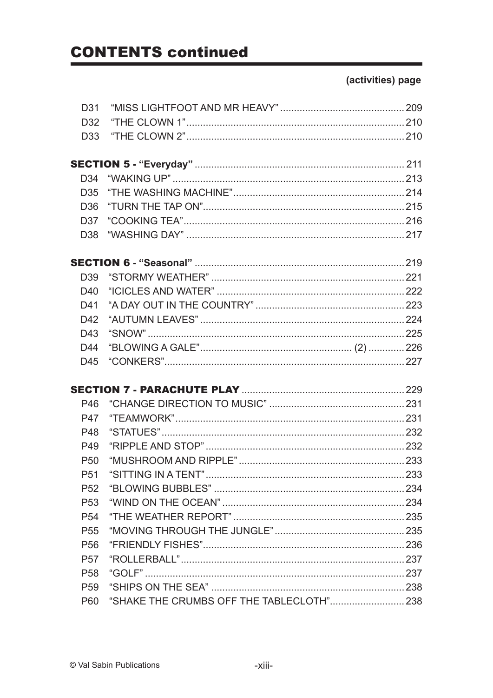| D31             |  |
|-----------------|--|
| D <sub>32</sub> |  |
| D <sub>33</sub> |  |
|                 |  |
|                 |  |
| D34             |  |
| D <sub>35</sub> |  |
| D36             |  |
| D37             |  |
| D38             |  |
|                 |  |
| D <sub>39</sub> |  |
| D40             |  |
| D41             |  |
| D42             |  |
| D43             |  |
| D44             |  |
| D45             |  |
|                 |  |
|                 |  |
| P46             |  |
| <b>P47</b>      |  |
| P48             |  |
| P49             |  |
| P <sub>50</sub> |  |
| P51             |  |
| P <sub>52</sub> |  |
|                 |  |
| P <sub>53</sub> |  |
| P <sub>54</sub> |  |
| P <sub>55</sub> |  |
| P <sub>56</sub> |  |
| P <sub>57</sub> |  |
| P <sub>58</sub> |  |
| P <sub>59</sub> |  |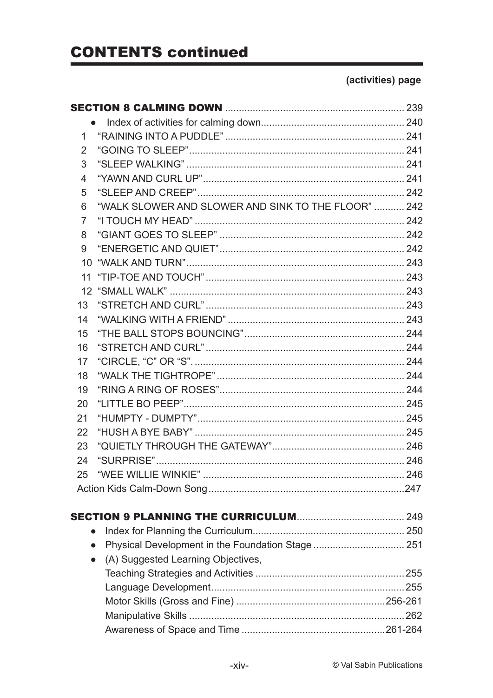| 1              |                                                     |  |
|----------------|-----------------------------------------------------|--|
| $\overline{2}$ |                                                     |  |
| 3              |                                                     |  |
| 4              |                                                     |  |
| 5              |                                                     |  |
| 6              | "WALK SLOWER AND SLOWER AND SINK TO THE FLOOR"  242 |  |
| $\overline{7}$ |                                                     |  |
| 8              |                                                     |  |
| 9              |                                                     |  |
| 10             |                                                     |  |
|                |                                                     |  |
|                |                                                     |  |
| 13             |                                                     |  |
| 14             |                                                     |  |
| 15             |                                                     |  |
| 16             |                                                     |  |
| 17             |                                                     |  |
| 18             |                                                     |  |
| 19             |                                                     |  |
| 20             |                                                     |  |
| 21             |                                                     |  |
| 22             |                                                     |  |
| 23             |                                                     |  |
| 24             |                                                     |  |
| 25             |                                                     |  |
|                |                                                     |  |
|                |                                                     |  |
| $\bullet$      |                                                     |  |
| $\bullet$      |                                                     |  |
| $\bullet$      | (A) Suggested Learning Objectives,                  |  |
|                |                                                     |  |
|                |                                                     |  |
|                |                                                     |  |
|                |                                                     |  |
|                |                                                     |  |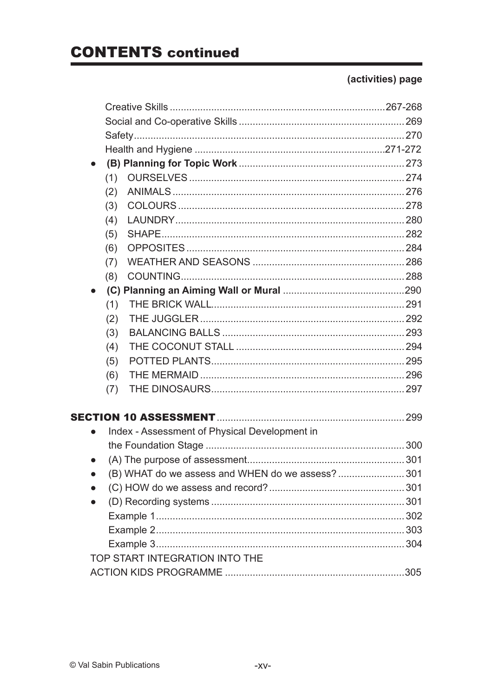|   | (1)                                              |  |
|---|--------------------------------------------------|--|
|   | (2)                                              |  |
|   | (3)                                              |  |
|   | (4)                                              |  |
|   | (5)                                              |  |
|   | (6)                                              |  |
|   | (7)                                              |  |
|   | (8)                                              |  |
|   |                                                  |  |
|   | (1)                                              |  |
|   | (2)                                              |  |
|   | (3)                                              |  |
|   | (4)                                              |  |
|   | (5)                                              |  |
|   | (6)                                              |  |
|   | (7)                                              |  |
|   |                                                  |  |
| ● | Index - Assessment of Physical Development in    |  |
|   |                                                  |  |
|   |                                                  |  |
|   | (B) WHAT do we assess and WHEN do we assess? 301 |  |
|   |                                                  |  |
|   |                                                  |  |
|   |                                                  |  |
|   |                                                  |  |
|   |                                                  |  |
|   | TOP START INTEGRATION INTO THE                   |  |
|   |                                                  |  |
|   |                                                  |  |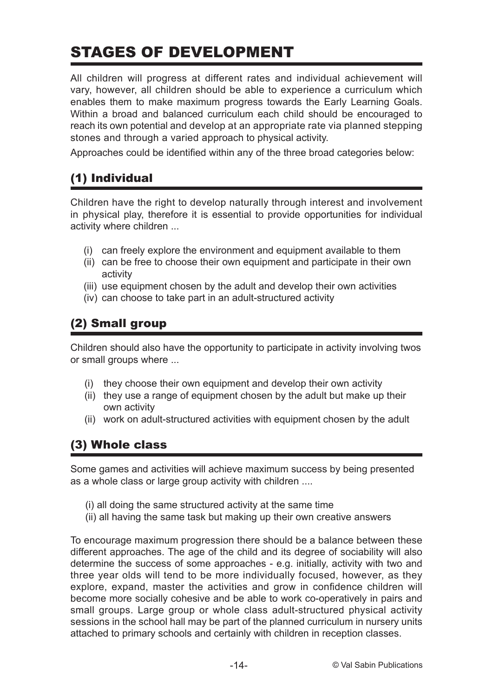# STAGES OF DEVELOPMENT

All children will progress at different rates and individual achievement will vary, however, all children should be able to experience a curriculum which enables them to make maximum progress towards the Early Learning Goals. Within a broad and balanced curriculum each child should be encouraged to reach its own potential and develop at an appropriate rate via planned stepping stones and through a varied approach to physical activity.

Approaches could be identified within any of the three broad categories below:

### (1) Individual

Children have the right to develop naturally through interest and involvement in physical play, therefore it is essential to provide opportunities for individual activity where children ...

- (i) can freely explore the environment and equipment available to them
- (ii) can be free to choose their own equipment and participate in their own activity
- (iii) use equipment chosen by the adult and develop their own activities
- (iv) can choose to take part in an adult-structured activity

### (2) Small group

Children should also have the opportunity to participate in activity involving twos or small groups where ...

- (i) they choose their own equipment and develop their own activity
- (ii) they use a range of equipment chosen by the adult but make up their own activity
- (ii) work on adult-structured activities with equipment chosen by the adult

### (3) Whole class

Some games and activities will achieve maximum success by being presented as a whole class or large group activity with children ....

- (i) all doing the same structured activity at the same time
- (ii) all having the same task but making up their own creative answers

To encourage maximum progression there should be a balance between these different approaches. The age of the child and its degree of sociability will also determine the success of some approaches - e.g. initially, activity with two and three year olds will tend to be more individually focused, however, as they explore, expand, master the activities and grow in confidence children will become more socially cohesive and be able to work co-operatively in pairs and small groups. Large group or whole class adult-structured physical activity sessions in the school hall may be part of the planned curriculum in nursery units attached to primary schools and certainly with children in reception classes.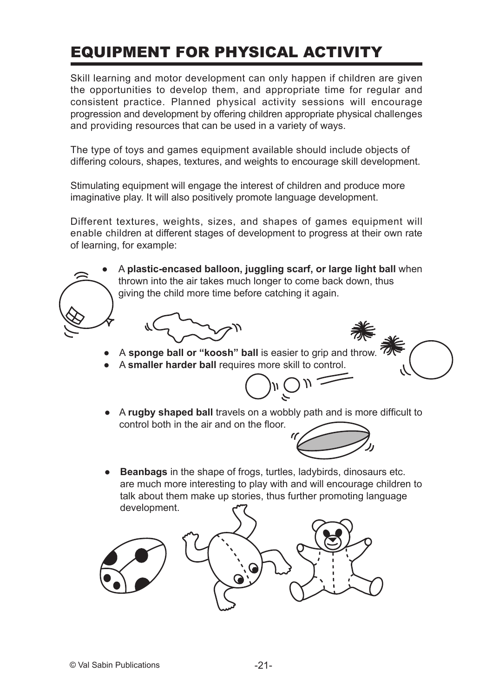# EQUIPMENT FOR PHYSICAL ACTIVITY

Skill learning and motor development can only happen if children are given the opportunities to develop them, and appropriate time for regular and consistent practice. Planned physical activity sessions will encourage progression and development by offering children appropriate physical challenges and providing resources that can be used in a variety of ways.

The type of toys and games equipment available should include objects of differing colours, shapes, textures, and weights to encourage skill development.

Stimulating equipment will engage the interest of children and produce more imaginative play. It will also positively promote language development.

Different textures, weights, sizes, and shapes of games equipment will enable children at different stages of development to progress at their own rate of learning, for example:







● A **smaller harder ball** requires more skill to control.

$$
\bigcirc_{n}\widehat{\circ}_{n}=
$$

● A **rugby shaped ball** travels on a wobbly path and is more difficult to control both in the air and on the floor.



**Beanbags** in the shape of frogs, turtles, ladybirds, dinosaurs etc. are much more interesting to play with and will encourage children to talk about them make up stories, thus further promoting language development.

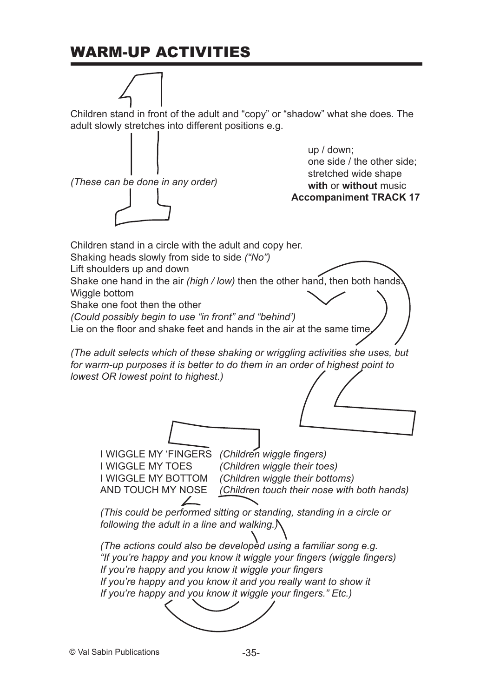# WARM-UP ACTIVITIES

Children stand in front of the adult and "copy" or "shadow" what she does. The adult slowly stretches into different positions e.g.



© Val Sabin Publications -35-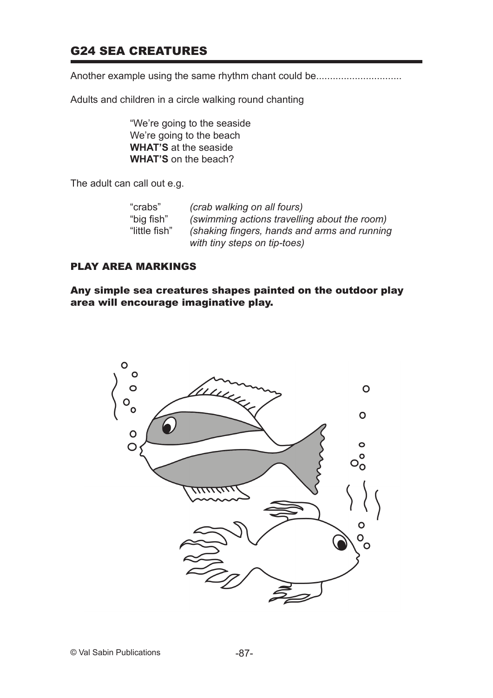#### G24 SEA CREATURES

Another example using the same rhythm chant could be.............................

Adults and children in a circle walking round chanting

"We're going to the seaside We're going to the beach **WHAT'S** at the seaside **WHAT'S** on the beach?

The adult can call out e.g.

| "crabs"       | (crab walking on all fours)                  |
|---------------|----------------------------------------------|
| "big fish"    | (swimming actions travelling about the room) |
| "little fish" | (shaking fingers, hands and arms and running |
|               | with tiny steps on tip-toes)                 |

#### PLAY AREA MARKINGS

Any simple sea creatures shapes painted on the outdoor play area will encourage imaginative play.

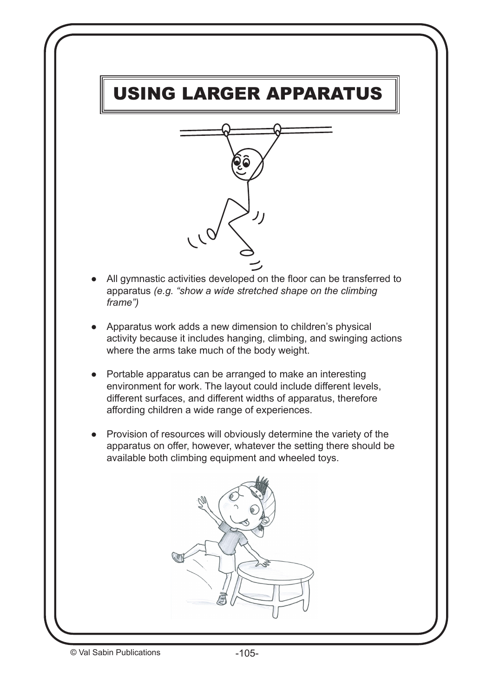# USING LARGER APPARATUS



- All gymnastic activities developed on the floor can be transferred to apparatus *(e.g. "show a wide stretched shape on the climbing frame")*
- Apparatus work adds a new dimension to children's physical activity because it includes hanging, climbing, and swinging actions where the arms take much of the body weight.
- Portable apparatus can be arranged to make an interesting environment for work. The layout could include different levels, different surfaces, and different widths of apparatus, therefore affording children a wide range of experiences.
- Provision of resources will obviously determine the variety of the apparatus on offer, however, whatever the setting there should be available both climbing equipment and wheeled toys.

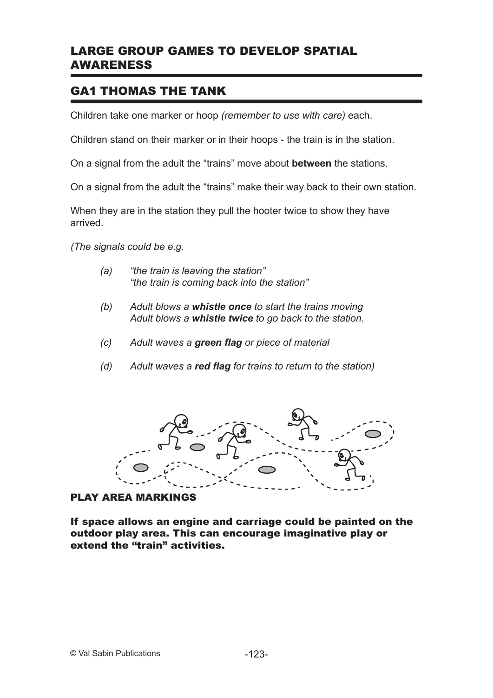#### LARGE GROUP GAMES TO DEVELOP SPATIAL AWARENESS

### GA1 THOMAS THE TANK

Children take one marker or hoop *(remember to use with care)* each.

Children stand on their marker or in their hoops - the train is in the station.

On a signal from the adult the "trains" move about **between** the stations.

On a signal from the adult the "trains" make their way back to their own station.

When they are in the station they pull the hooter twice to show they have arrived.

*(The signals could be e.g.*

- *(a) "the train is leaving the station" "the train is coming back into the station"*
- *(b) Adult blows a whistle once to start the trains moving Adult blows a whistle twice to go back to the station.*
- *(c) Adult waves a green flag or piece of material*
- *(d) Adult waves a red flag for trains to return to the station)*



#### PLAY AREA MARKINGS

If space allows an engine and carriage could be painted on the outdoor play area. This can encourage imaginative play or extend the "train" activities.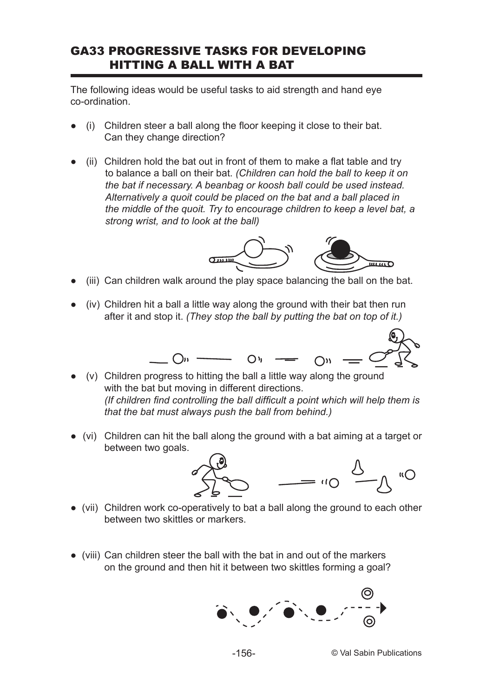#### GA33 PROGRESSIVE TASKS FOR DEVELOPING HITTING A BALL WITH A BAT

The following ideas would be useful tasks to aid strength and hand eye co-ordination.

- (i) Children steer a ball along the floor keeping it close to their bat. Can they change direction?
- $(ii)$  Children hold the bat out in front of them to make a flat table and try to balance a ball on their bat. *(Children can hold the ball to keep it on the bat if necessary. A beanbag or koosh ball could be used instead. Alternatively a quoit could be placed on the bat and a ball placed in the middle of the quoit. Try to encourage children to keep a level bat, a strong wrist, and to look at the ball)*



- $(iii)$  Can children walk around the play space balancing the ball on the bat.
- $(iv)$  Children hit a ball a little way along the ground with their bat then run after it and stop it. *(They stop the ball by putting the bat on top of it.)*



- $(v)$  Children progress to hitting the ball a little way along the ground with the bat but moving in different directions. *(If children find controlling the ball difficult a point which will help them is that the bat must always push the ball from behind.)*
- (vi) Children can hit the ball along the ground with a bat aiming at a target or between two goals.



- (vii) Children work co-operatively to bat a ball along the ground to each other between two skittles or markers.
- (viii) Can children steer the ball with the bat in and out of the markers on the ground and then hit it between two skittles forming a goal?

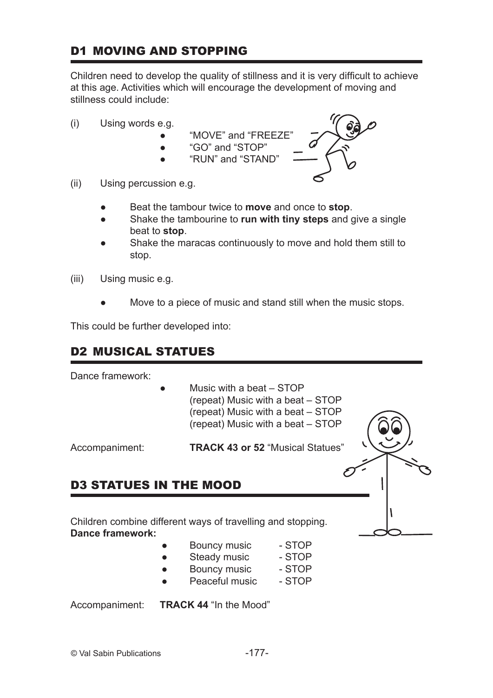### D1 MOVING AND STOPPING

Children need to develop the quality of stillness and it is very difficult to achieve at this age. Activities which will encourage the development of moving and stillness could include:

- (i) Using words e.g.
	- "MOVE" and "FREEZE"
	- "GO" and "STOP"
	- "RUN" and "STAND"



- (ii) Using percussion e.g.
	- ● Beat the tambour twice to **move** and once to **stop**.
	- **•** Shake the tambourine to **run with tiny steps** and give a single beat to **stop**.
	- Shake the maracas continuously to move and hold them still to stop.
- (iii) Using music e.g.
	- Move to a piece of music and stand still when the music stops.

This could be further developed into:

### D2 MUSICAL STATUES

Dance framework:

Music with a beat  $-$  STOP (repeat) Music with a beat – STOP (repeat) Music with a beat – STOP (repeat) Music with a beat – STOP

Accompaniment: **TRACK 43 or 52** "Musical Statues"

### D3 STATUES IN THE MOOD

Children combine different ways of travelling and stopping. **Dance framework:**

- Bouncy music STOP
- Steady music STOP
- Bouncy music STOP
- Peaceful music STOP

Accompaniment: **TRACK 44** "In the Mood"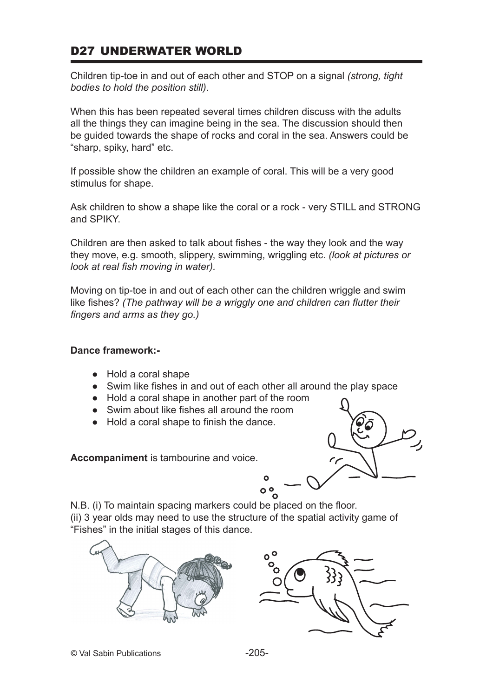### D27 UNDERWATER WORLD

Children tip-toe in and out of each other and STOP on a signal *(strong, tight bodies to hold the position still).*

When this has been repeated several times children discuss with the adults all the things they can imagine being in the sea. The discussion should then be guided towards the shape of rocks and coral in the sea. Answers could be "sharp, spiky, hard" etc.

If possible show the children an example of coral. This will be a very good stimulus for shape.

Ask children to show a shape like the coral or a rock - very STILL and STRONG and SPIKY.

Children are then asked to talk about fishes - the way they look and the way they move, e.g. smooth, slippery, swimming, wriggling etc. *(look at pictures or look at real fish moving in water).*

Moving on tip-toe in and out of each other can the children wriggle and swim like fishes? *(The pathway will be a wriggly one and children can flutter their fingers and arms as they go.)*

#### **Dance framework:-**

- Hold a coral shape
- Swim like fishes in and out of each other all around the play space
- Hold a coral shape in another part of the room
- Swim about like fishes all around the room
- Hold a coral shape to finish the dance.

**Accompaniment** is tambourine and voice.



N.B. (i) To maintain spacing markers could be placed on the floor. (ii) 3 year olds may need to use the structure of the spatial activity game of "Fishes" in the initial stages of this dance.



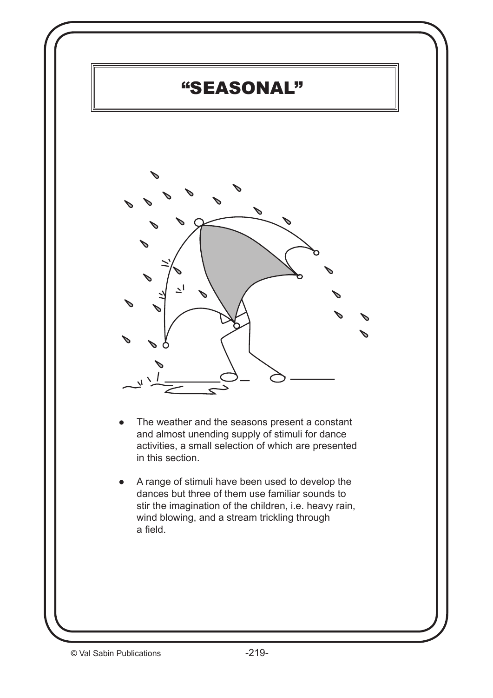